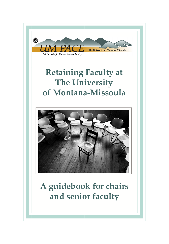

# **Retaining Faculty at The University of Montana-Missoula**



# **A guidebook for chairs and senior faculty**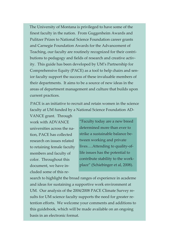The University of Montana is privileged to have some of the finest faculty in the nation. From Guggenheim Awards and Pulitzer Prizes to National Science Foundation career grants and Carnegie Foundation Awards for the Advancement of Teaching, our faculty are routinely recognized for their contributions to pedagogy and fields of research and creative activity. This guide has been developed by UM's Partnership for Comprehensive Equity (PACE) as a tool to help chairs and senior faculty support the success of these invaluable members of their departments. It aims to be a source of new ideas in the areas of department management and culture that builds upon current practices.

PACE is an initiative to recruit and retain women in the science faculty at UM funded by a National Science Foundation AD-

VANCE grant. Through work with ADVANCE universities across the nation, PACE has collected research on issues related to retaining female faculty members and faculty of color. Throughout this document, we have included some of this re-

"Faculty today are a new breed determined more than ever to strike a sustainable balance between working and private lives….Attending to quality-oflife issues has the potential to contribute stability to the workplace" (Schiebinger et al, 2008).

search to highlight the broad ranges of experience in academe and ideas for sustaining a supportive work environment at UM. Our analysis of the 2004/2008 PACE Climate Survey results for UM science faculty supports the need for greater retention efforts. We welcome your comments and additions to this guidebook, which will be made available on an ongoing basis in an electronic format.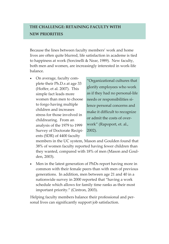## **THE CHALLENGE: RETAINING FACULTY WITH NEW PRIORITIES**

Because the lines between faculty members' work and home lives are often quite blurred, life satisfaction in academe is tied to happiness at work (Sorcinelli & Near, 1989). New faculty, both men and women, are increasingly interested in work-life balance.

• On average, faculty complete their Ph.D.s at age 33 (Hoffer, et al. 2007). This simple fact leads more women than men to choose to forgo having multiple children and increases stress for those involved in childrearing. From an analysis of the 1979 to 1999 Survey of Doctorate Recipients (SDR) of 4400 faculty

"Organizational cultures that glorify employees who work as if they had no personal-life needs or responsibilities silence personal concerns and make it difficult to recognize or admit the costs of overwork" (Rapoport, et. al., 2002).

members in the UC system, Mason and Goulden found that 38% of women faculty reported having fewer children than they wanted, compared with 18% of men (Mason and Goulden, 2003).

• Men in the latest generation of PhDs report having more in common with their female peers than with men of previous generations. In addition, men between age 21 and 40 in a nationwide survey in 2000 reported that "having a work schedule which allows for family time ranks as their most important priority." (Cintron, 2003).

Helping faculty members balance their professional and personal lives can significantly support job satisfaction.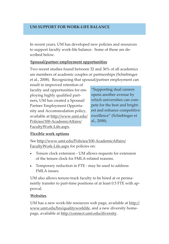## **UM SUPPORT FOR WORK-LIFE BALANCE**

In recent years, UM has developed new policies and resources to support faculty work-life balance. Some of these are described below.

## **Spousal/partner employment opportunities**

Two recent studies found between 32 and 36% of all academics are members of academic couples or partnerships (Schiebinger et al., 2008). Recognizing that spousal/partner employment can

result in improved retention of faculty and opportunities for employing highly qualified partners, UM has created a Spousal/ Partner Employment Opportunity and Accommodation policy, available at http://www.umt.edu/ Policies/100-AcademicAffairs/ FacultyWork-Life.aspx.

"Supporting dual careers opens another avenue by which universities can compete for the best and brightest and enhance competitive excellence" (Schiebinger et al., 2008).

#### **Flexible work options**

See http://www.umt.edu/Policies/100-AcademicAffairs/ FacultyWork-Life.aspx for policies on:

- Tenure clock extension UM allows requests for extension of the tenure clock for FMLA-related reasons.
- Temporary reduction in FTE may be used to address FMLA issues.

UM also allows tenure-track faculty to be hired at or permanently transfer to part-time positions of at least 0.5 FTE with approval.

#### **Websites**

UM has a new work-life resources web page, available at http:// www.umt.edu/hrs/qualityworklife, and a new diversity homepage, available at http://connect.umt.edu/diversity.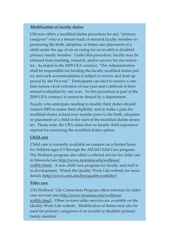## **Modification of faculty duties**

UM now offers a modified duties procedure for any "primary caregiver" who is a tenure-track or tenured faculty member experiencing the birth, adoption, or foster care placement of a child under the age of six or caring for an invalid or disabled primary family member. Under this procedure, faculty may be released from teaching, research, and/or service for one semester. As stated in the 2009 UFA contract, "The Administration shall be responsible for funding the faculty modified duties policy and each accommodation is subject to review and final approval by the Provost." Participants can elect to receive a onetime tenure-clock extension of one year and a deferral of their annual evaluation by one year. As this procedure is part of the 2009 UFA contract, it cannot be denied by a department.

Faculty who anticipate needing to modify their duties should contact HRS to assess their eligibility and to make a plan for modified duties at least four months prior to the birth, adoption or placement of a child or the start of the modified duties semester. Please note, the CBA states that no faculty shall experience reprisal for exercising the modified duties option.

## **Child care**

Child care is currently available on campus on a limited basis for children ages 2-5 through the ASUM Child Care program. The Wellness program also offers a referral service for child care in Missoula (see http://www.montana.edu/wellness/ welltlc.html). A new child care program for faculty and staff is in development. Watch the Quality Work Life website for more details (http://www.umt.edu/hrs/qualityworklife/).

#### **Elder care**

UM Wellness' Life Connection Program offers referrals for elder care services (see http://www.montana.edu/wellness/ welltlc.html). Other in-town elder services are available on the Quality Work Life website. Modification of duties may also be used for primary caregivers of an invalid or disabled primary family member.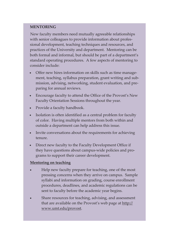#### **MENTORING**

New faculty members need mutually agreeable relationships with senior colleagues to provide information about professional development, teaching techniques and resources, and practices of the University and department. Mentoring can be both formal and informal, but should be part of a department's standard operating procedures. A few aspects of mentoring to consider include:

- Offer new hires information on skills such as time management, teaching, syllabus preparation, grant writing and submission, advising, networking, student evaluation, and preparing for annual reviews.
- Encourage faculty to attend the Office of the Provost's New Faculty Orientation Sessions throughout the year.
- Provide a faculty handbook.
- Isolation is often identified as a central problem for faculty of color. Having multiple mentors from both within and outside a department can help address this issue.
- Invite conversations about the requirements for achieving tenure.
- Direct new faculty to the Faculty Development Office if they have questions about campus-wide policies and programs to support their career development.

## **Mentoring on teaching**

- Help new faculty prepare for teaching, one of the most pressing concerns when they arrive on campus. Sample syllabi and information on grading, course enrollment procedures, deadlines, and academic regulations can be sent to faculty before the academic year begins.
- Share resources for teaching, advising, and assessment that are available on the Provost's web page at http:// www.umt.edu/provost.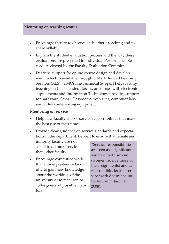#### **Mentoring on teaching (cont.)**

- Encourage faculty to observe each other's teaching and to share syllabi.
- Explain the student evaluation process and the way these evaluations are presented in Individual Performance Records reviewed by the Faculty Evaluation Committee.
- Describe support for online course design and development, which is available through UM's Extended Learning Services (XLS). UMOnline Technical Support helps faculty teaching on-line, blended classes, or courses with electronic supplements and Information Technology provides support for hardware, Smart Classrooms, web sites, computer labs, and video conferencing equipment.

#### **Mentoring on service**

- Help new faculty choose service responsibilities that make the best use of their time.
- Provide clear guidance on service standards and expectations in the department. Be alert to ensure that female and

minority faculty are not asked to do more service than other faculty.

• Encourage committee work that allows pre-tenure faculty to gain new knowledge about the workings of the university or to meet senior colleagues and possible mentors.

"Service responsibilities are seen as a significant source of both sexism (women receive more of the assignments) and career roadblocks (the service work doesn't count for tenure)" (Jaschik, 2008).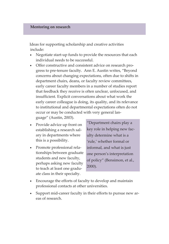#### **Mentoring on research**

Ideas for supporting scholarship and creative activities include:

- Negotiate start-up funds to provide the resources that each individual needs to be successful.
- Offer constructive and consistent advice on research progress to pre-tenure faculty. Ann E. Austin writes, "Beyond concerns about changing expectations, often due to shifts in department chairs, deans, or faculty review committees, early career faculty members in a number of studies report that feedback they receive is often unclear, unfocused, and insufficient. Explicit conversations about what work the early career colleague is doing, its quality, and its relevance to institutional and departmental expectations often do not occur or may be conducted with very general language" (Austin, 2003).
- Provide advice up front on establishing a research salary in departments where this is a possibility.
- Promote professional relationships between graduate students and new faculty, perhaps asking new faculty to teach at least one graduate class in their specialty.

"Department chairs play a key role in helping new faculty determine what is a 'rule,' whether formal or informal, and what is just one person's interpretation of policy" (Bensimon, et al., 2000).

- Encourage the efforts of faculty to develop and maintain professional contacts at other universities.
- Support mid-career faculty in their efforts to pursue new areas of research.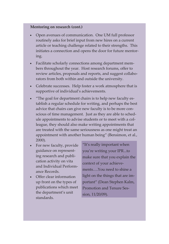#### **Mentoring on research (cont.)**

- Open avenues of communication. One UM full professor routinely asks for brief input from new hires on a current article or teaching challenge related to their strengths. This initiates a connection and opens the door for future mentoring.
- Facilitate scholarly connections among department members throughout the year. Host research forums, offer to review articles, proposals and reports, and suggest collaborators from both within and outside the university.
- Celebrate successes. Help foster a work atmosphere that is supportive of individual's achievements.
- "The goal for department chairs is to help new faculty establish a regular schedule for writing, and perhaps the best advice that chairs can give new faculty is to be more conscious of time management. Just as they are able to schedule appointments to advise students or to meet with a colleague, they should also make writing appointments that are treated with the same seriousness as one might treat an appointment with another human being" (Bensimon, et al., 2000).
- For new faculty, provide guidance on representing research and publication activity on vita and Individual Performance Records.
- Offer clear information up front on the types of publications which meet the department's unit standards.

"It's really important when you're writing your IPR...to make sure that you explain the context of your achievements….You need to shine a light on the things that are important" (Dean Stephen Kalm, Promotion and Tenure Session, 11/20/09).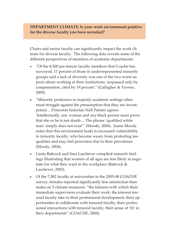## **DEPARTMENT CLIMATE: Is your work environment positive for the diverse faculty you have recruited?**

Chairs and senior faculty can significantly impact the work climate for diverse faculty. The following data reveals some of the different perspectives of members of academic departments:

- "Of the 8,500 pre-tenure faculty members that Coache has surveyed, 17 percent of those in underrepresented minority groups said a lack of diversity was one of the two worst aspects about working at their institutions, surpassed only by compensation, cited by 19 percent." (Gallagher & Trower, 2009).
- "Minority professors in majority academic settings often must struggle against the presumption that they are incompetent….Princeton historian Nell Painter agrees: 'Intellectually, any woman and any black person must prove that she or he is not dumb….The phrase 'qualified white man' simply does not exist'" (Moody, 2004). Joann Moody notes that this environment leads to increased vulnerability in minority faculty, who become weary from protesting inequalities and may feel powerless due to their prevalence (Moody, 2004).
- Linda Babcock and Sara Laschever compiled research findings illustrating that women of all ages are less likely to negotiate for what they want in the workplace (Babcock & Laschever, 2003).
- Of the 7,582 faculty at universities in the 2005-08 COACHE survey, females reported significantly less satisfaction than males on 5 climate measures: "the fairness with which their immediate supervisors evaluate their work; the interest tenured faculty take in their professional development; their opportunities to collaborate with tenured faculty; their professional interactions with tenured faculty; their sense of 'fit' in their departments" (COACHE, 2008).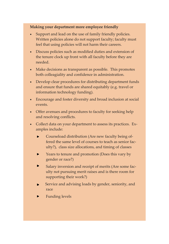#### **Making your department more employee friendly**

- Support and lead on the use of family friendly policies. Written policies alone do not support faculty; faculty must feel that using policies will not harm their careers.
- Discuss policies such as modified duties and extension of the tenure clock up front with all faculty before they are needed.
- Make decisions as transparent as possible. This promotes both colleagiality and confidence in administration.
- Develop clear procedures for distributing department funds and ensure that funds are shared equitably (e.g. travel or information technology funding).
- Encourage and foster diversity and broad inclusion at social events.
- Offer avenues and procedures to faculty for seeking help and resolving conflicts.
- Collect data on your department to assess its practices. Examples include:
	- $\mathbf{r}$ Courseload distribution (Are new faculty being offered the same level of courses to teach as senior faculty?), class size allocations, and timing of classes
	- Years to tenure and promotion (Does this vary by  $\blacksquare$ gender or race?)
	- Salary inversion and receipt of merits (Are some faculty not pursuing merit raises and is there room for supporting their work?)
	- Service and advising loads by gender, seniority, and race
	- Funding levels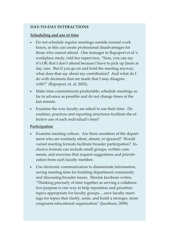## **DAY-TO-DAY INTERACTIONS**

## **Scheduling and use of time**

- Do not schedule regular meetings outside normal work hours, as this can create professional disadvantages for those who cannot attend. One manager in Rapoport et al.'s workplace study, told her supervisor, "Sure, you can say it's OK that I don't attend because I have to pick up Jason at day care. But if you go on and hold the meeting anyway, what does that say about my contribution? And what do I do with decisions that are made that I may disagree with?" (Rapoport, et. al, 2002).
- Make time commitments predictable; schedule meetings as far in advance as possible and do not change times at the last minute.
- Examine the way faculty are asked to use their time. Do routines, practices and reporting structures facilitate the effective use of each individual's time?

## **Participation**

- Examine meeting culture. Are there members of the department who are routinely silent, absent, or ignored? Would varied meeting formats facilitate broader participation? Inclusive formats can include small groups, written comments, and exercises that request suggestions and prioritization from each faculty member.
- Use electronic communication to disseminate information, saving meeting time for building department community and discussing broader issues. Maxine Jacobson writes, "Thinking precisely of time together as serving a collaborative purpose is one way to help reposition and prioritize topics appropriate for faculty groups….save faculty meetings for topics that clarify, unite, and build a stronger, more congruent educational organization" (Jacobson, 2009).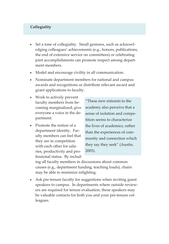### **Collegiality**

- Set a tone of collegiality. Small gestures, such as acknowledging colleagues' achievements (e.g., honors, publications, the end of extensive service on committees) or celebrating joint accomplishments can promote respect among department members.
- Model and encourage civility in all communication.
- Nominate department members for national and campus awards and recognitions or distribute relevant award and grant applications to faculty.
- Work to actively prevent faculty members from becoming marginalized; give everyone a voice in the department.
- Promote the notion of a department identity. Faculty members can feel that they are in competition with each other for salaries, productivity and professional status. By includ-

"These new entrants to the academy also perceive that a sense of isolation and competition seems to characterize the lives of academics, rather than the experiences of community and connection which they say they seek" (Austin, 2003).

ing all faculty members in discussions about common causes (e.g., department funding, teaching loads), chairs may be able to minimize infighting.

• Ask pre-tenure faculty for suggestions when inviting guest speakers to campus. In departments where outside reviewers are required for tenure evaluation, these speakers may be valuable contacts for both you and your pre-tenure colleagues.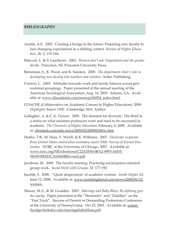#### **BIBLIOGRAPHY**

- Austin, A.E. 2003. Creating a bridge to the future: Preparing new faculty to face changing expectations in a shifting context*. Review of Higher Education,* 26: 2, 119-144.
- Babcock, L. & S. Laschever. 2003. *Women don't ask: Negotiation and the gender divide.* Princeton, NJ: Princeton University Press.
- Bensimon, E., K. Ward, and K. Sanders. 2000. *The department chair's role in developing new faculty into teachers and scholars.* Anker Publishing.
- Cintron, L. 2003. Attitudes towards work and family balance across generational groupings. Paper presented at the annual meeting of the American Sociological Association, Aug. 16, 2003. Atlanta, GA. Available at: www.allacademic.com/meta/p106954\_index.html.
- COACHE (Collaborative on Academic Careers in Higher Education). 2008. *Highlights Report 2008*. Cambridge, MA: Author.
- Gallagher, A. & C.A. Trower. 2009. The demand for diversity: The third in a series on what assistant professors want and need to be successful in academe. *The Chronicle of Higher Education*, February 4, 2009. Available at: chronicle.com/jobs news/2009/02/2009020401c.htm
- Hoffer, T.B., M. Hess, V. Welch, & K. Williams. 2007. *Doctorate recipients from United States universities summary report 2006: Survey of Earned Doctorates.* NORC at the University of Chicago, 2007. Available at: www.norc.org/NR/rdonlyres/C22A3F40-0BA2-4993-A6D3- 5E65939EEDC3/0/06SRRevised.pdf
- Jacobson, M. 2009. The faculty meeting: Practicing social justice-oriented group work. *Social Work with Groups*, 32: 177-192.
- Jaschik, S. 2008. "'Quite desperation' of academic women. *Inside Higher Ed*. June 12, 2008. Available at: www.insidehighered.com/news/2008/06/12/ women.
- Mason, M.A., & M. Goulden. 2003. *Marriage and Baby Blues: Re-defining gender equity.* Paper presented at the "Mommies" and "Daddies" on the "Fast Track": Success of Parents in Demanding Professions Conference at the University of Pennsylvania. Oct 23, 2003. Available at: ucfamilyedge.berkeley.edu/marriagebabyblues.pdf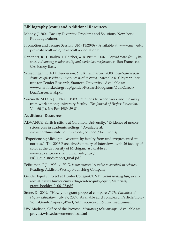#### **Bibliography (cont.) and Additional Resources**

- Moody, J. 2004. Faculty Diversity: Problems and Solutions. New York: RoutledgeFalmer.
- Promotion and Tenure Session, UM (11/20/09), Available at: www.umt.edu/ provost/facultyinfo/newfacultyorientation.html
- Rapoport, R., L. Bailyn, J. Fletcher, & B. Pruitt. 2002. *Beyond work-family balance: Advancing gender equity and workplace performance.* San Francisco, CA: Jossey-Bass.
- Schiebinger, L., A.D. Henderson, & S.K. Gilmartin. 2008. *Dual-career academic couples: What universities need to know.* Michelle R. Clayman Institute for Gender Research, Stanford University. Available at: www.stanford.edu/group/gender/ResearchPrograms/DualCareer/ DualCareerFinal.pdf
- Sorcinelli, M.D. & J.P. Near. 1989. Relations between work and life away from work among university faculty. *The Journal of Higher Education*, Vol. 60 (1), Jan-Feb 1989, 59-81.

#### **Additional Resources**

- ADVANCE, Earth Institute at Columbia University. "Evidence of unconscious bias in academic settings." Available at: www.earthinstitute.columbia.edu/advance/documents/
- "Experiencing Michigan: Accounts by faculty from underrepresented minorities." The 2006 Executive Summary of interviews with 26 faculty of color at the University of Michigan. Available at: www.advance.rackham.umich.edu/ncid/ NCIDqualstudyreport\_final.pdf
- Feibelman, P.J. 1993. *A Ph.D. is not enough! A guide to survival in science*. Reading: Addison-Wesley Publishing Company.
- Gender Equity Project at Hunter College-CUNY. *Grant writing tips*, available at: www.hunter.cuny.edu/genderequity/equityMaterials/ grant\_booklet\_9\_06\_07.pdf
- Stone, D. 2009. "How your grant proposal compares." *The Chronicle of Higher Education*, July 29, 2009. Available at: chronicle.com/article/How-Your-Grant-Proposal/47471/?utm\_source=pm&utm\_medium=en
- UW-Madison, Office of the Provost. *Mentoring relationships.* Available at: provost.wisc.edu/women/roles.html